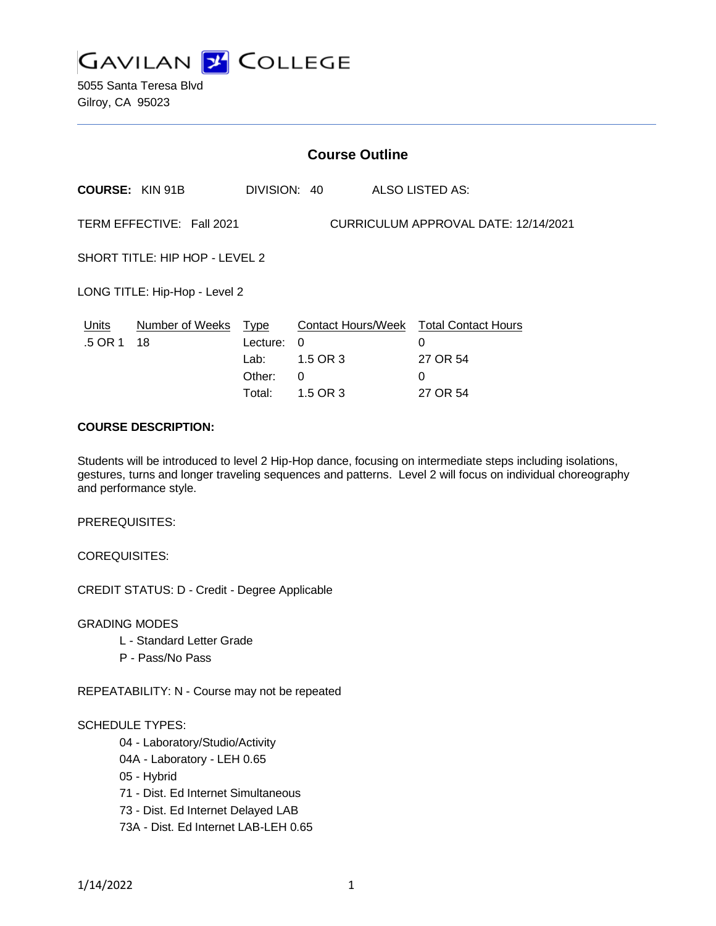

5055 Santa Teresa Blvd Gilroy, CA 95023

|                                                                   | <b>Course Outline</b>      |                            |                    |  |                                                                     |
|-------------------------------------------------------------------|----------------------------|----------------------------|--------------------|--|---------------------------------------------------------------------|
|                                                                   | <b>COURSE: KIN 91B</b>     | DIVISION: 40               |                    |  | <b>ALSO LISTED AS:</b>                                              |
| TERM EFFECTIVE: Fall 2021<br>CURRICULUM APPROVAL DATE: 12/14/2021 |                            |                            |                    |  |                                                                     |
| SHORT TITLE: HIP HOP - LEVEL 2                                    |                            |                            |                    |  |                                                                     |
| LONG TITLE: Hip-Hop - Level 2                                     |                            |                            |                    |  |                                                                     |
| Units<br>.5 OR 1                                                  | Number of Weeks Type<br>18 | Lecture:<br>Lab:<br>Other: | 0<br>1.5 OR 3<br>0 |  | <b>Contact Hours/Week Total Contact Hours</b><br>0<br>27 OR 54<br>0 |
|                                                                   |                            | Total:                     | 1.5 OR 3           |  | 27 OR 54                                                            |

### **COURSE DESCRIPTION:**

Students will be introduced to level 2 Hip-Hop dance, focusing on intermediate steps including isolations, gestures, turns and longer traveling sequences and patterns. Level 2 will focus on individual choreography and performance style.

PREREQUISITES:

COREQUISITES:

CREDIT STATUS: D - Credit - Degree Applicable

GRADING MODES

- L Standard Letter Grade
- P Pass/No Pass

REPEATABILITY: N - Course may not be repeated

#### SCHEDULE TYPES:

04 - Laboratory/Studio/Activity

- 04A Laboratory LEH 0.65
- 05 Hybrid
- 71 Dist. Ed Internet Simultaneous
- 73 Dist. Ed Internet Delayed LAB
- 73A Dist. Ed Internet LAB-LEH 0.65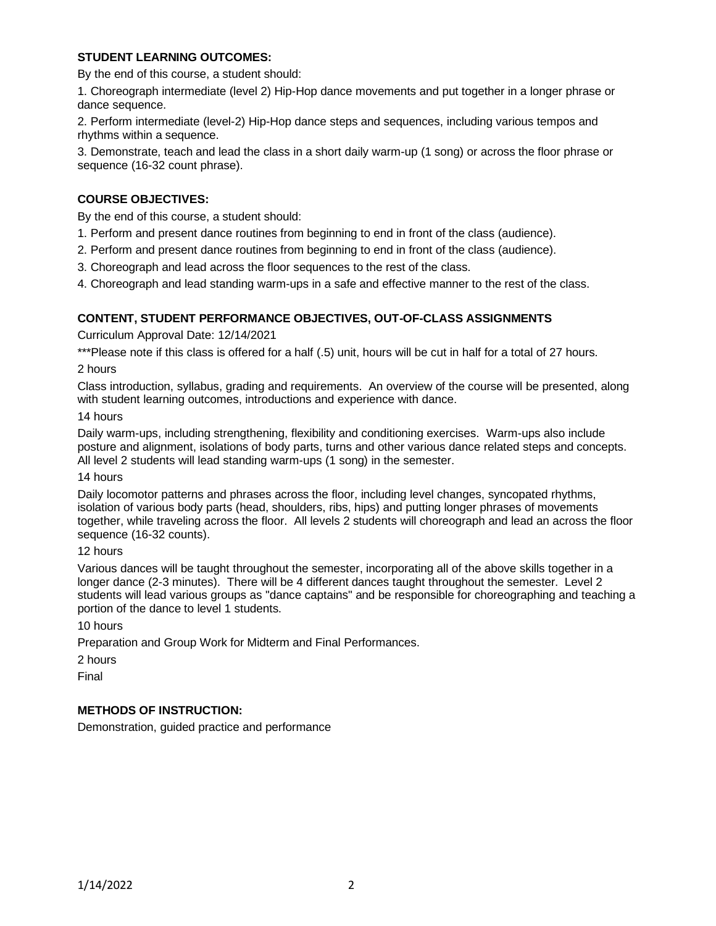## **STUDENT LEARNING OUTCOMES:**

By the end of this course, a student should:

1. Choreograph intermediate (level 2) Hip-Hop dance movements and put together in a longer phrase or dance sequence.

2. Perform intermediate (level-2) Hip-Hop dance steps and sequences, including various tempos and rhythms within a sequence.

3. Demonstrate, teach and lead the class in a short daily warm-up (1 song) or across the floor phrase or sequence (16-32 count phrase).

# **COURSE OBJECTIVES:**

By the end of this course, a student should:

- 1. Perform and present dance routines from beginning to end in front of the class (audience).
- 2. Perform and present dance routines from beginning to end in front of the class (audience).
- 3. Choreograph and lead across the floor sequences to the rest of the class.
- 4. Choreograph and lead standing warm-ups in a safe and effective manner to the rest of the class.

### **CONTENT, STUDENT PERFORMANCE OBJECTIVES, OUT-OF-CLASS ASSIGNMENTS**

Curriculum Approval Date: 12/14/2021

\*\*\*Please note if this class is offered for a half (.5) unit, hours will be cut in half for a total of 27 hours.

### 2 hours

Class introduction, syllabus, grading and requirements. An overview of the course will be presented, along with student learning outcomes, introductions and experience with dance.

#### 14 hours

Daily warm-ups, including strengthening, flexibility and conditioning exercises. Warm-ups also include posture and alignment, isolations of body parts, turns and other various dance related steps and concepts. All level 2 students will lead standing warm-ups (1 song) in the semester.

#### 14 hours

Daily locomotor patterns and phrases across the floor, including level changes, syncopated rhythms, isolation of various body parts (head, shoulders, ribs, hips) and putting longer phrases of movements together, while traveling across the floor. All levels 2 students will choreograph and lead an across the floor sequence (16-32 counts).

#### 12 hours

Various dances will be taught throughout the semester, incorporating all of the above skills together in a longer dance (2-3 minutes). There will be 4 different dances taught throughout the semester. Level 2 students will lead various groups as "dance captains" and be responsible for choreographing and teaching a portion of the dance to level 1 students.

10 hours

Preparation and Group Work for Midterm and Final Performances.

2 hours

Final

### **METHODS OF INSTRUCTION:**

Demonstration, guided practice and performance